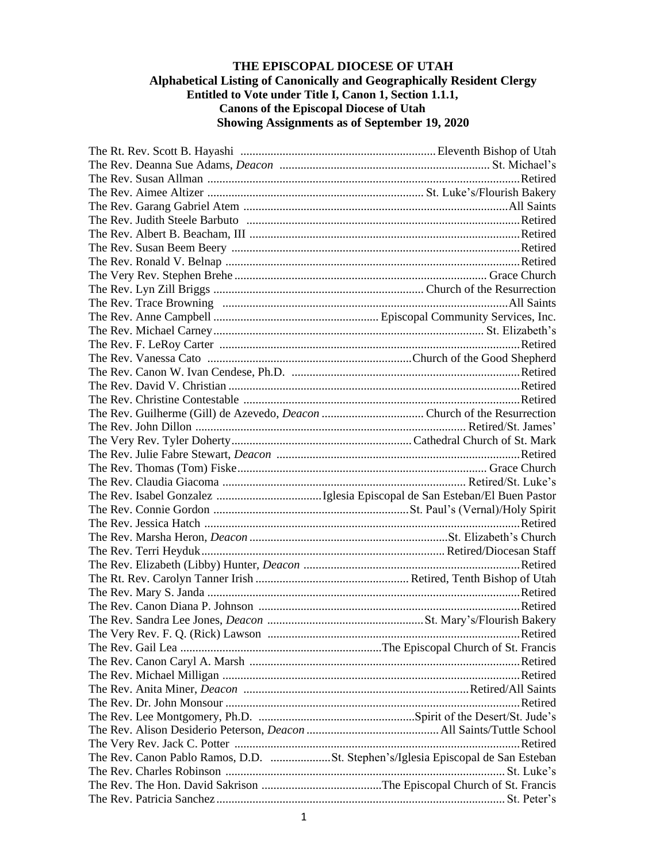## **THE EPISCOPAL DIOCESE OF UTAH Alphabetical Listing of Canonically and Geographically Resident Clergy Entitled to Vote under Title I, Canon 1, Section 1.1.1, Canons of the Episcopal Diocese of Utah Showing Assignments as of September 19, 2020**

| Retired                                                                         |
|---------------------------------------------------------------------------------|
|                                                                                 |
|                                                                                 |
|                                                                                 |
|                                                                                 |
|                                                                                 |
|                                                                                 |
|                                                                                 |
|                                                                                 |
| The Rev. Canon Pablo Ramos, D.D. St. Stephen's/Iglesia Episcopal de San Esteban |
|                                                                                 |
|                                                                                 |
|                                                                                 |
|                                                                                 |